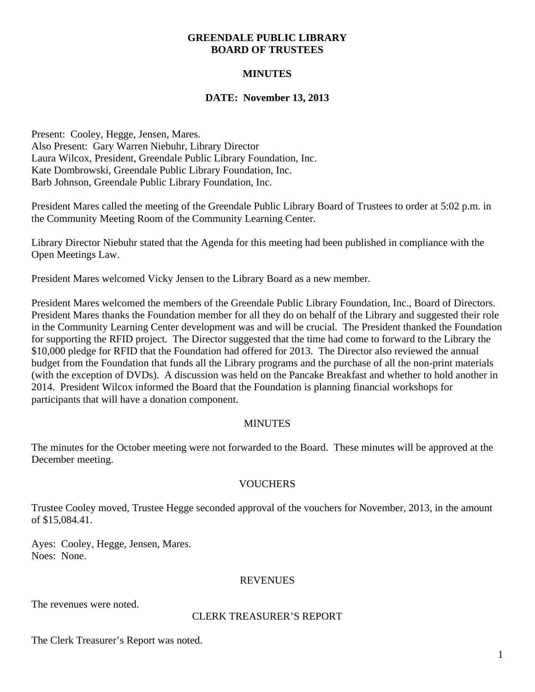### **GREENDALE PUBLIC LIBRARY BOARD OF TRUSTEES**

# **MINUTES**

## **DATE: November 13, 2013**

Present: Cooley, Hegge, Jensen, Mares. Also Present: Gary Warren Niebuhr, Library Director Laura Wilcox, President, Greendale Public Library Foundation, Inc. Kate Dombrowski, Greendale Public Library Foundation, Inc. Barb Johnson, Greendale Public Library Foundation, Inc.

President Mares called the meeting of the Greendale Public Library Board of Trustees to order at 5:02 p.m. in the Community Meeting Room of the Community Learning Center.

Library Director Niebuhr stated that the Agenda for this meeting had been published in compliance with the Open Meetings Law.

President Mares welcomed Vicky Jensen to the Library Board as a new member.

President Mares welcomed the members of the Greendale Public Library Foundation, Inc., Board of Directors. President Mares thanks the Foundation member for all they do on behalf of the Library and suggested their role in the Community Learning Center development was and will be crucial. The President thanked the Foundation for supporting the RFID project. The Director suggested that the time had come to forward to the Library the \$10,000 pledge for RFID that the Foundation had offered for 2013. The Director also reviewed the annual budget from the Foundation that funds all the Library programs and the purchase of all the non-print materials (with the exception of DVDs). A discussion was held on the Pancake Breakfast and whether to hold another in 2014. President Wilcox informed the Board that the Foundation is planning financial workshops for participants that will have a donation component.

### **MINUTES**

The minutes for the October meeting were not forwarded to the Board. These minutes will be approved at the December meeting.

# **VOUCHERS**

Trustee Cooley moved, Trustee Hegge seconded approval of the vouchers for November, 2013, in the amount of \$15,084.41.

Ayes: Cooley, Hegge, Jensen, Mares. Noes: None.

### REVENUES

The revenues were noted.

### CLERK TREASURER'S REPORT

The Clerk Treasurer's Report was noted.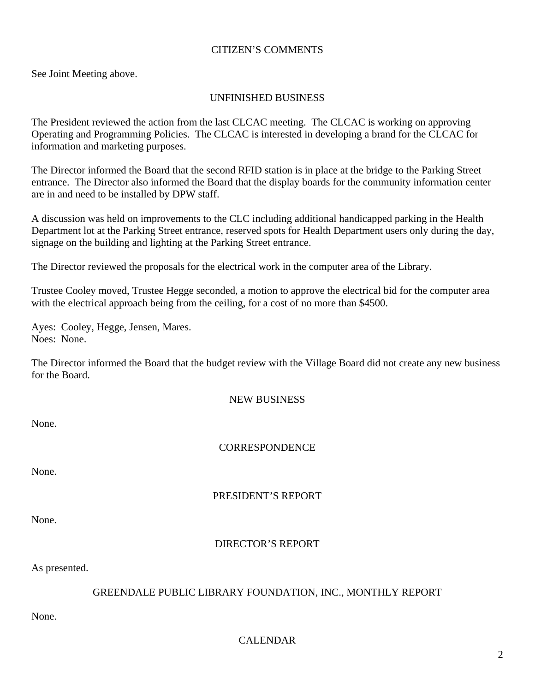### CITIZEN'S COMMENTS

See Joint Meeting above.

## UNFINISHED BUSINESS

The President reviewed the action from the last CLCAC meeting. The CLCAC is working on approving Operating and Programming Policies. The CLCAC is interested in developing a brand for the CLCAC for information and marketing purposes.

The Director informed the Board that the second RFID station is in place at the bridge to the Parking Street entrance. The Director also informed the Board that the display boards for the community information center are in and need to be installed by DPW staff.

A discussion was held on improvements to the CLC including additional handicapped parking in the Health Department lot at the Parking Street entrance, reserved spots for Health Department users only during the day, signage on the building and lighting at the Parking Street entrance.

The Director reviewed the proposals for the electrical work in the computer area of the Library.

Trustee Cooley moved, Trustee Hegge seconded, a motion to approve the electrical bid for the computer area with the electrical approach being from the ceiling, for a cost of no more than \$4500.

Ayes: Cooley, Hegge, Jensen, Mares. Noes: None.

The Director informed the Board that the budget review with the Village Board did not create any new business for the Board.

#### NEW BUSINESS

None.

**CORRESPONDENCE** 

None.

## PRESIDENT'S REPORT

None.

# DIRECTOR'S REPORT

As presented.

### GREENDALE PUBLIC LIBRARY FOUNDATION, INC., MONTHLY REPORT

None.

# CALENDAR